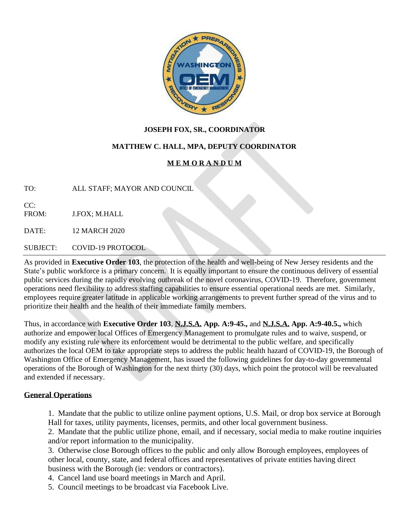

## **JOSEPH FOX, SR., COORDINATOR**

## **MATTHEW C. HALL, MPA, DEPUTY COORDINATOR**

# **M E M O R A N D U M**

TO: ALL STAFF; MAYOR AND COUNCIL

 $CC:$ FROM: J.FOX; M.HALL

DATE: 12 MARCH 2020

SUBJECT: COVID-19 PROTOCOL

As provided in **Executive Order 103**, the protection of the health and well-being of New Jersey residents and the State's public workforce is a primary concern. It is equally important to ensure the continuous delivery of essential public services during the rapidly evolving outbreak of the novel coronavirus, COVID-19. Therefore, government operations need flexibility to address staffing capabilities to ensure essential operational needs are met. Similarly, employees require greater latitude in applicable working arrangements to prevent further spread of the virus and to prioritize their health and the health of their immediate family members.

Thus, in accordance with **Executive Order 103**, **N.J.S.A. App. A:9-45.,** and **N.J.S.A. App. A:9-40.5.,** which authorize and empower local Offices of Emergency Management to promulgate rules and to waive, suspend, or modify any existing rule where its enforcement would be detrimental to the public welfare, and specifically authorizes the local OEM to take appropriate steps to address the public health hazard of COVID-19, the Borough of Washington Office of Emergency Management, has issued the following guidelines for day-to-day governmental operations of the Borough of Washington for the next thirty (30) days, which point the protocol will be reevaluated and extended if necessary.

#### **General Operations**

1. Mandate that the public to utilize online payment options, U.S. Mail, or drop box service at Borough Hall for taxes, utility payments, licenses, permits, and other local government business.

2. Mandate that the public utilize phone, email, and if necessary, social media to make routine inquiries and/or report information to the municipality.

3. Otherwise close Borough offices to the public and only allow Borough employees, employees of other local, county, state, and federal offices and representatives of private entities having direct business with the Borough (ie: vendors or contractors).

4. Cancel land use board meetings in March and April.

5. Council meetings to be broadcast via Facebook Live.